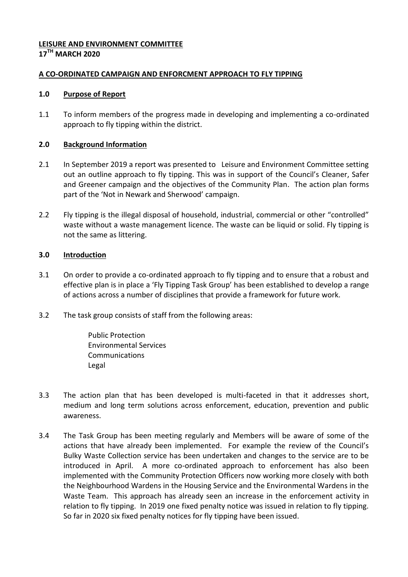#### **LEISURE AND ENVIRONMENT COMMITTEE 17TH MARCH 2020**

# **A CO-ORDINATED CAMPAIGN AND ENFORCMENT APPROACH TO FLY TIPPING**

### **1.0 Purpose of Report**

1.1 To inform members of the progress made in developing and implementing a co-ordinated approach to fly tipping within the district.

### **2.0 Background Information**

- 2.1 In September 2019 a report was presented to Leisure and Environment Committee setting out an outline approach to fly tipping. This was in support of the Council's Cleaner, Safer and Greener campaign and the objectives of the Community Plan. The action plan forms part of the 'Not in Newark and Sherwood' campaign.
- 2.2 Fly tipping is the illegal disposal of household, industrial, commercial or other "controlled" waste without a waste management licence. The waste can be liquid or solid. Fly tipping is not the same as littering.

### **3.0 Introduction**

- 3.1 On order to provide a co-ordinated approach to fly tipping and to ensure that a robust and effective plan is in place a 'Fly Tipping Task Group' has been established to develop a range of actions across a number of disciplines that provide a framework for future work.
- 3.2 The task group consists of staff from the following areas:

Public Protection Environmental Services **Communications** Legal

- 3.3 The action plan that has been developed is multi-faceted in that it addresses short, medium and long term solutions across enforcement, education, prevention and public awareness.
- 3.4 The Task Group has been meeting regularly and Members will be aware of some of the actions that have already been implemented. For example the review of the Council's Bulky Waste Collection service has been undertaken and changes to the service are to be introduced in April. A more co-ordinated approach to enforcement has also been implemented with the Community Protection Officers now working more closely with both the Neighbourhood Wardens in the Housing Service and the Environmental Wardens in the Waste Team. This approach has already seen an increase in the enforcement activity in relation to fly tipping. In 2019 one fixed penalty notice was issued in relation to fly tipping. So far in 2020 six fixed penalty notices for fly tipping have been issued.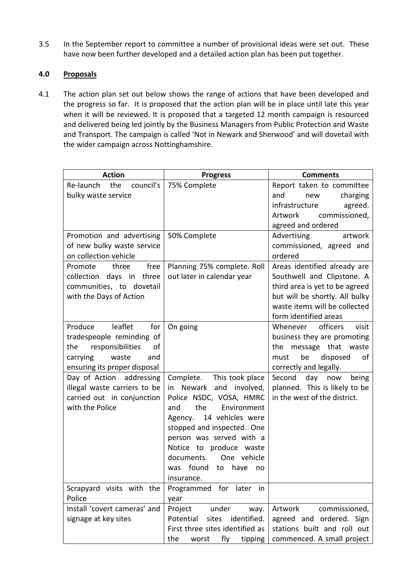3.5 In the September report to committee a number of provisional ideas were set out. These have now been further developed and a detailed action plan has been put together.

# **4.0 Proposals**

4.1 The action plan set out below shows the range of actions that have been developed and the progress so far. It is proposed that the action plan will be in place until late this year when it will be reviewed. It is proposed that a targeted 12 month campaign is resourced and delivered being led jointly by the Business Managers from Public Protection and Waste and Transport. The campaign is called 'Not in Newark and Sherwood' and will dovetail with the wider campaign across Nottinghamshire.

| <b>Action</b>                                                                                                                                       | <b>Progress</b>                                                                                                                                                                                                                                                                                              | <b>Comments</b>                                                                                                                                                                          |
|-----------------------------------------------------------------------------------------------------------------------------------------------------|--------------------------------------------------------------------------------------------------------------------------------------------------------------------------------------------------------------------------------------------------------------------------------------------------------------|------------------------------------------------------------------------------------------------------------------------------------------------------------------------------------------|
| council's<br>Re-launch<br>the<br>bulky waste service                                                                                                | 75% Complete                                                                                                                                                                                                                                                                                                 | Report taken to committee<br>charging<br>and<br>new<br>infrastructure<br>agreed.<br>commissioned,<br>Artwork<br>agreed and ordered                                                       |
| Promotion and advertising<br>of new bulky waste service<br>on collection vehicle                                                                    | 50% Complete                                                                                                                                                                                                                                                                                                 | Advertising<br>artwork<br>commissioned, agreed and<br>ordered                                                                                                                            |
| three<br>free<br>Promote<br>collection days in three<br>communities, to dovetail<br>with the Days of Action                                         | Planning 75% complete. Roll<br>out later in calendar year                                                                                                                                                                                                                                                    | Areas identified already are<br>Southwell and Clipstone. A<br>third area is yet to be agreed<br>but will be shortly. All bulky<br>waste items will be collected<br>form identified areas |
| leaflet<br>Produce<br>for<br>tradespeople reminding of<br>responsibilities<br>the<br>of<br>waste<br>carrying<br>and<br>ensuring its proper disposal | On going                                                                                                                                                                                                                                                                                                     | officers<br>Whenever<br>visit<br>business they are promoting<br>message that waste<br>the<br>be<br>disposed<br>must<br>of<br>correctly and legally.                                      |
| Day of Action addressing<br>illegal waste carriers to be<br>carried out in conjunction<br>with the Police                                           | Complete.<br>This took place<br>in Newark<br>and involved,<br>Police NSDC, VOSA, HMRC<br>the<br>Environment<br>and<br>14 vehicles were<br>Agency.<br>stopped and inspected. One<br>person was served with a<br>Notice to produce waste<br>documents.<br>One vehicle<br>was found<br>to have no<br>insurance. | Second day now<br>being<br>planned. This is likely to be<br>in the west of the district.                                                                                                 |
| Scrapyard visits with the<br>Police                                                                                                                 | Programmed for later in<br>year                                                                                                                                                                                                                                                                              |                                                                                                                                                                                          |
| Install 'covert cameras' and<br>signage at key sites                                                                                                | Project<br>under<br>way.<br>identified.<br>Potential<br>sites<br>First three sites identified as<br>fly<br>the<br>worst<br>tipping                                                                                                                                                                           | Artwork<br>commissioned,<br>agreed and ordered. Sign<br>stations built and roll out<br>commenced. A small project                                                                        |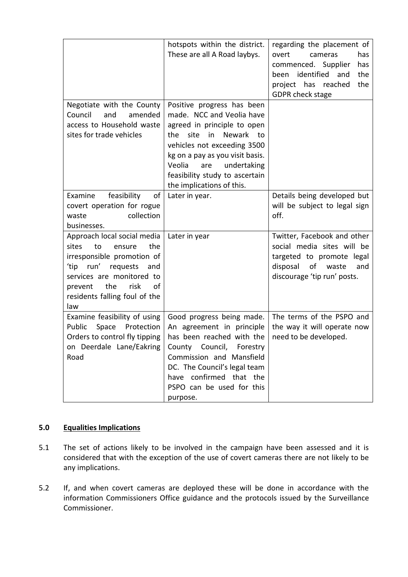|                                                                                                                                                                                                                             | hotspots within the district.<br>These are all A Road laybys.                                                                                                                                                                                                                              | regarding the placement of<br>overt<br>cameras<br>has<br>commenced. Supplier<br>has<br>identified<br>the<br>and<br>been<br>the<br>project has<br>reached<br>GDPR check stage |
|-----------------------------------------------------------------------------------------------------------------------------------------------------------------------------------------------------------------------------|--------------------------------------------------------------------------------------------------------------------------------------------------------------------------------------------------------------------------------------------------------------------------------------------|------------------------------------------------------------------------------------------------------------------------------------------------------------------------------|
| Negotiate with the County<br>Council<br>and<br>amended<br>access to Household waste<br>sites for trade vehicles                                                                                                             | Positive progress has been<br>made. NCC and Veolia have<br>agreed in principle to open<br>the.<br>site<br>in<br>Newark to<br>vehicles not exceeding 3500<br>kg on a pay as you visit basis.<br>Veolia<br>undertaking<br>are<br>feasibility study to ascertain<br>the implications of this. |                                                                                                                                                                              |
| Examine<br>feasibility<br>of<br>covert operation for rogue<br>collection<br>waste<br>businesses.                                                                                                                            | Later in year.                                                                                                                                                                                                                                                                             | Details being developed but<br>will be subject to legal sign<br>off.                                                                                                         |
| Approach local social media<br>the<br>sites<br>to<br>ensure<br>irresponsible promotion of<br>'tip run' requests<br>and<br>services are monitored to<br>risk<br>the<br>οf<br>prevent<br>residents falling foul of the<br>law | Later in year                                                                                                                                                                                                                                                                              | Twitter, Facebook and other<br>social media sites will be<br>targeted to promote legal<br>disposal of<br>waste<br>and<br>discourage 'tip run' posts.                         |
| Examine feasibility of using<br>Public<br>Space<br>Protection<br>Orders to control fly tipping<br>on Deerdale Lane/Eakring<br>Road                                                                                          | Good progress being made.<br>An agreement in principle<br>has been reached with the<br>County Council,<br>Forestry<br>Commission and Mansfield<br>DC. The Council's legal team<br>have confirmed that the<br>PSPO can be used for this<br>purpose.                                         | The terms of the PSPO and<br>the way it will operate now<br>need to be developed.                                                                                            |

# **5.0 Equalities Implications**

- 5.1 The set of actions likely to be involved in the campaign have been assessed and it is considered that with the exception of the use of covert cameras there are not likely to be any implications.
- 5.2 If, and when covert cameras are deployed these will be done in accordance with the information Commissioners Office guidance and the protocols issued by the Surveillance Commissioner.